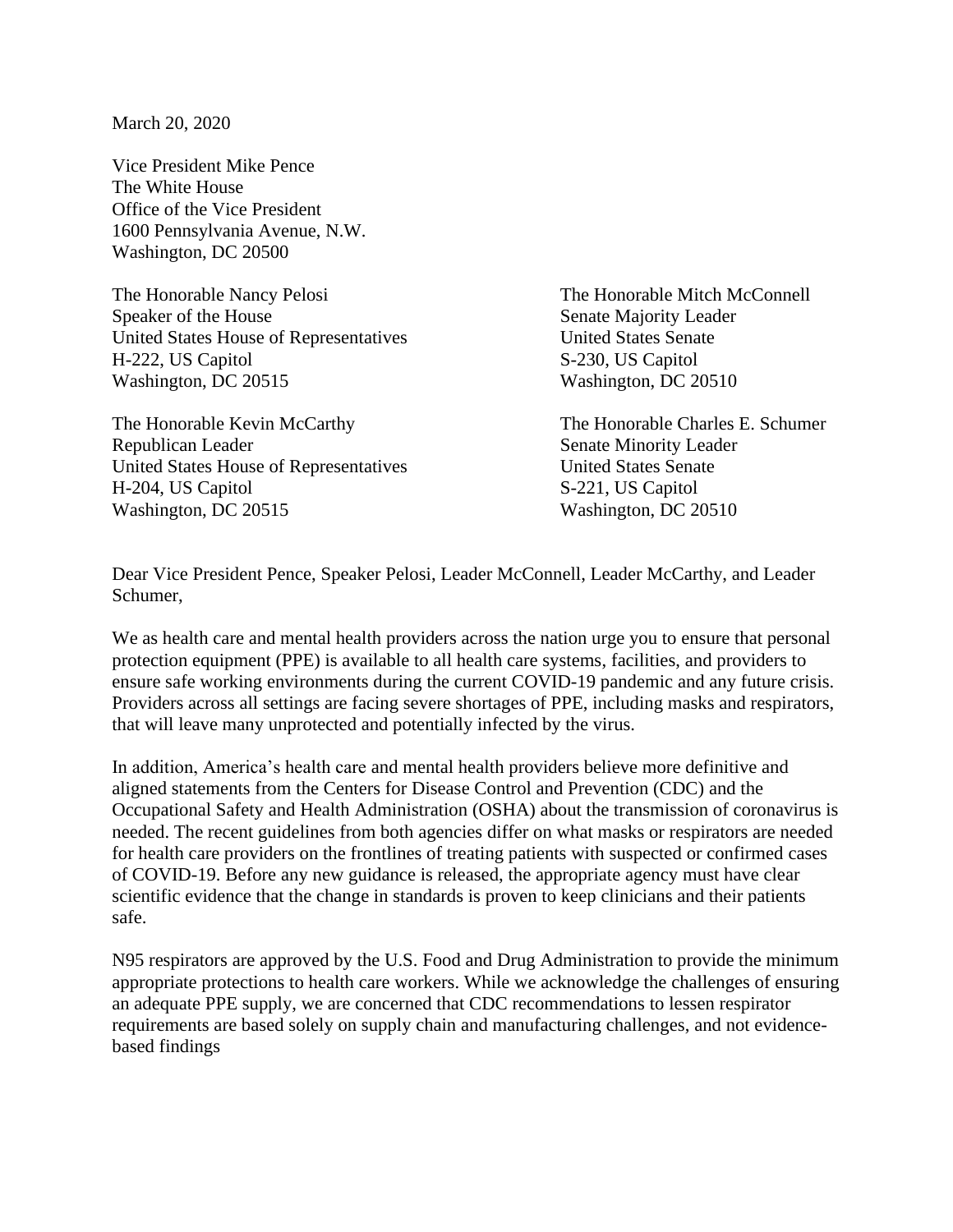March 20, 2020

Vice President Mike Pence The White House Office of the Vice President 1600 Pennsylvania Avenue, N.W. Washington, DC 20500

The Honorable Nancy Pelosi The Honorable Mitch McConnell Speaker of the House Senate Majority Leader United States House of Representatives United States Senate H-222, US Capitol S-230, US Capitol Washington, DC 20515 Washington, DC 20510

The Honorable Kevin McCarthy The Honorable Charles E. Schumer Republican Leader Senate Minority Leader United States House of Representatives United States Senate H-204, US Capitol S-221, US Capitol Washington, DC 20515 Washington, DC 20510

Dear Vice President Pence, Speaker Pelosi, Leader McConnell, Leader McCarthy, and Leader Schumer,

We as health care and mental health providers across the nation urge you to ensure that personal protection equipment (PPE) is available to all health care systems, facilities, and providers to ensure safe working environments during the current COVID-19 pandemic and any future crisis. Providers across all settings are facing severe shortages of PPE, including masks and respirators, that will leave many unprotected and potentially infected by the virus.

In addition, America's health care and mental health providers believe more definitive and aligned statements from the Centers for Disease Control and Prevention (CDC) and the Occupational Safety and Health Administration (OSHA) about the transmission of coronavirus is needed. The recent guidelines from both agencies differ on what masks or respirators are needed for health care providers on the frontlines of treating patients with suspected or confirmed cases of COVID-19. Before any new guidance is released, the appropriate agency must have clear scientific evidence that the change in standards is proven to keep clinicians and their patients safe.

N95 respirators are approved by the U.S. Food and Drug Administration to provide the minimum appropriate protections to health care workers. While we acknowledge the challenges of ensuring an adequate PPE supply, we are concerned that CDC recommendations to lessen respirator requirements are based solely on supply chain and manufacturing challenges, and not evidencebased findings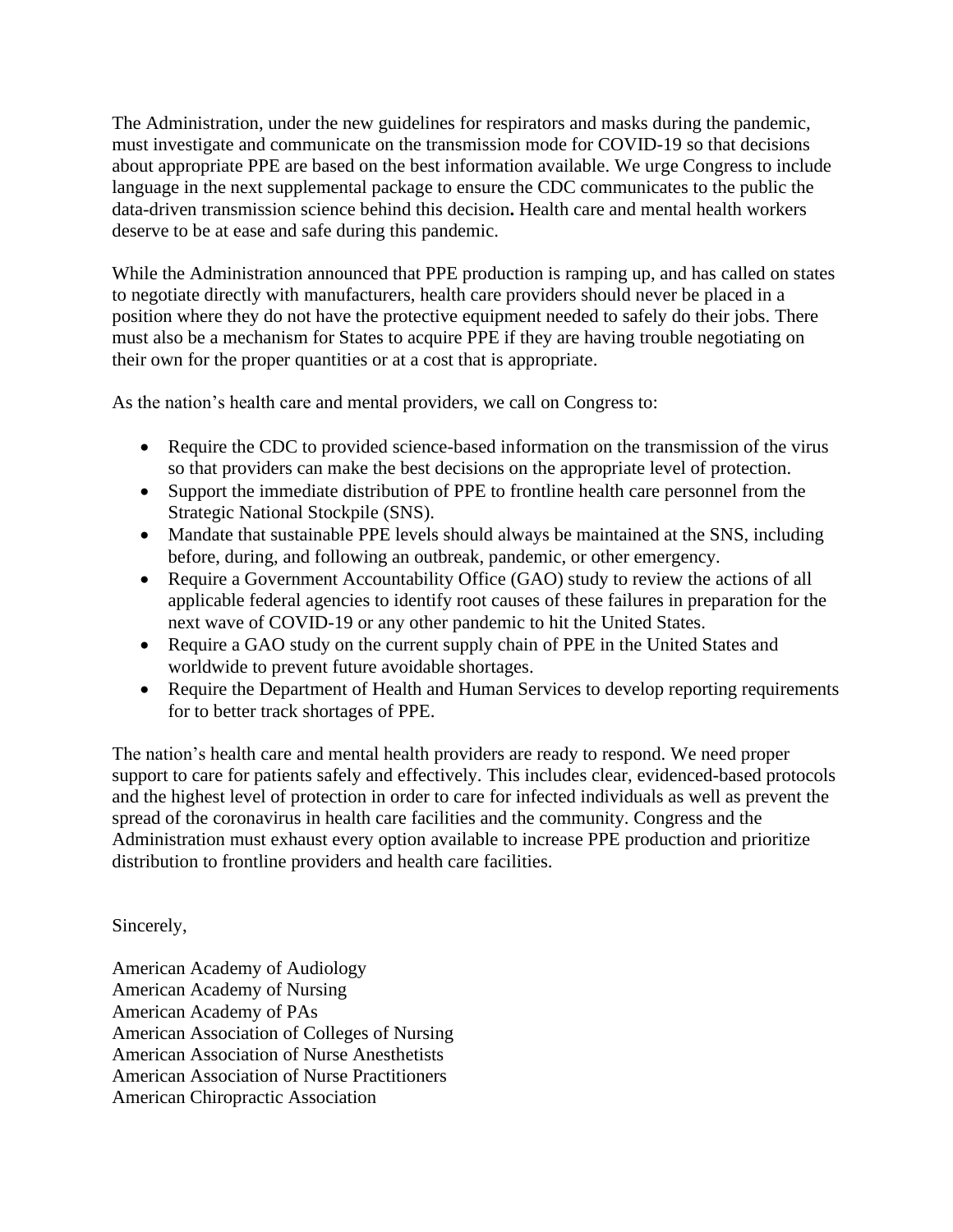The Administration, under the new guidelines for respirators and masks during the pandemic, must investigate and communicate on the transmission mode for COVID-19 so that decisions about appropriate PPE are based on the best information available. We urge Congress to include language in the next supplemental package to ensure the CDC communicates to the public the data-driven transmission science behind this decision**.** Health care and mental health workers deserve to be at ease and safe during this pandemic.

While the Administration announced that PPE production is ramping up, and has called on states to negotiate directly with manufacturers, health care providers should never be placed in a position where they do not have the protective equipment needed to safely do their jobs. There must also be a mechanism for States to acquire PPE if they are having trouble negotiating on their own for the proper quantities or at a cost that is appropriate.

As the nation's health care and mental providers, we call on Congress to:

- Require the CDC to provided science-based information on the transmission of the virus so that providers can make the best decisions on the appropriate level of protection.
- Support the immediate distribution of PPE to frontline health care personnel from the Strategic National Stockpile (SNS).
- Mandate that sustainable PPE levels should always be maintained at the SNS, including before, during, and following an outbreak, pandemic, or other emergency.
- Require a Government Accountability Office (GAO) study to review the actions of all applicable federal agencies to identify root causes of these failures in preparation for the next wave of COVID-19 or any other pandemic to hit the United States.
- Require a GAO study on the current supply chain of PPE in the United States and worldwide to prevent future avoidable shortages.
- Require the Department of Health and Human Services to develop reporting requirements for to better track shortages of PPE.

The nation's health care and mental health providers are ready to respond. We need proper support to care for patients safely and effectively. This includes clear, evidenced-based protocols and the highest level of protection in order to care for infected individuals as well as prevent the spread of the coronavirus in health care facilities and the community. Congress and the Administration must exhaust every option available to increase PPE production and prioritize distribution to frontline providers and health care facilities.

## Sincerely,

American Academy of Audiology American Academy of Nursing American Academy of PAs American Association of Colleges of Nursing American Association of Nurse Anesthetists American Association of Nurse Practitioners American Chiropractic Association